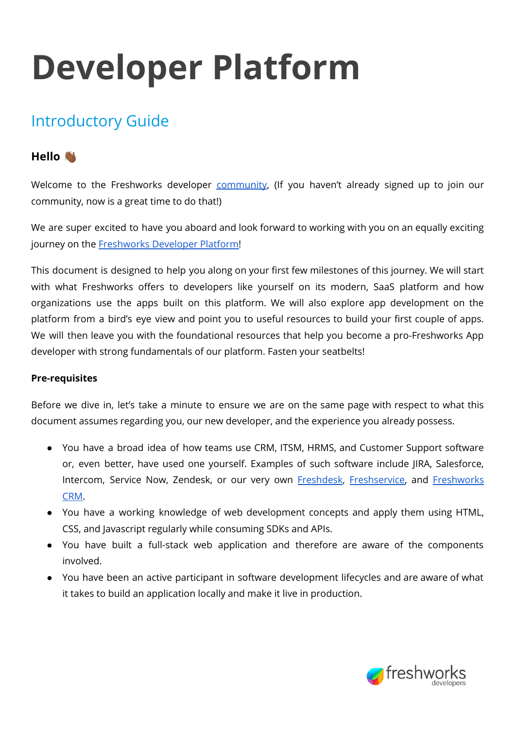# **Developer Platform**

# Introductory Guide

## **Hello**

Welcome to the Freshworks developer [community](https://community.developers.freshworks.com/), (If you haven't already signed up to join our community, now is a great time to do that!)

We are super excited to have you aboard and look forward to working with you on an equally exciting journey on the [Freshworks](https://developer.freshworks.com/) Developer Platform!

This document is designed to help you along on your first few milestones of this journey. We will start with what Freshworks offers to developers like yourself on its modern, SaaS platform and how organizations use the apps built on this platform. We will also explore app development on the platform from a bird's eye view and point you to useful resources to build your first couple of apps. We will then leave you with the foundational resources that help you become a pro-Freshworks App developer with strong fundamentals of our platform. Fasten your seatbelts!

#### **Pre-requisites**

Before we dive in, let's take a minute to ensure we are on the same page with respect to what this document assumes regarding you, our new developer, and the experience you already possess.

- You have a broad idea of how teams use CRM, ITSM, HRMS, and Customer Support software or, even better, have used one yourself. Examples of such software include JIRA, Salesforce, Intercom, Service Now, Zendesk, or our very own [Freshdesk,](https://freshdesk.com/) [Freshservice,](https://freshservice.com/) and [Freshworks](https://www.freshworks.com/crm/) [CRM.](https://www.freshworks.com/crm/)
- You have a working knowledge of web development concepts and apply them using HTML, CSS, and Javascript regularly while consuming SDKs and APIs.
- You have built a full-stack web application and therefore are aware of the components involved.
- You have been an active participant in software development lifecycles and are aware of what it takes to build an application locally and make it live in production.

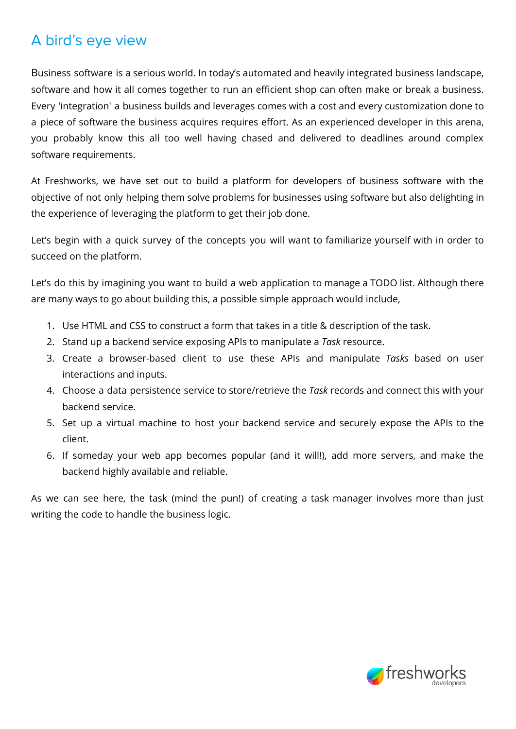## A bird's eye view

Business software is a serious world. In today's automated and heavily integrated business landscape, software and how it all comes together to run an efficient shop can often make or break a business. Every 'integration' a business builds and leverages comes with a cost and every customization done to a piece of software the business acquires requires effort. As an experienced developer in this arena, you probably know this all too well having chased and delivered to deadlines around complex software requirements.

At Freshworks, we have set out to build a platform for developers of business software with the objective of not only helping them solve problems for businesses using software but also delighting in the experience of leveraging the platform to get their job done.

Let's begin with a quick survey of the concepts you will want to familiarize yourself with in order to succeed on the platform.

Let's do this by imagining you want to build a web application to manage a TODO list. Although there are many ways to go about building this, a possible simple approach would include,

- 1. Use HTML and CSS to construct a form that takes in a title & description of the task.
- 2. Stand up a backend service exposing APIs to manipulate a *Task* resource.
- 3. Create a browser-based client to use these APIs and manipulate *Tasks* based on user interactions and inputs.
- 4. Choose a data persistence service to store/retrieve the *Task* records and connect this with your backend service.
- 5. Set up a virtual machine to host your backend service and securely expose the APIs to the client.
- 6. If someday your web app becomes popular (and it will!), add more servers, and make the backend highly available and reliable.

As we can see here, the task (mind the pun!) of creating a task manager involves more than just writing the code to handle the business logic.

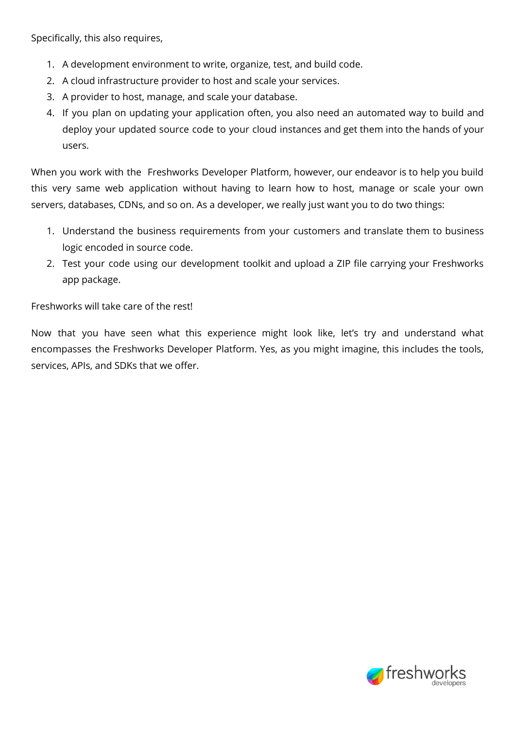Specifically, this also requires,

- 1. A development environment to write, organize, test, and build code.
- 2. A cloud infrastructure provider to host and scale your services.
- 3. A provider to host, manage, and scale your database.
- 4. If you plan on updating your application often, you also need an automated way to build and deploy your updated source code to your cloud instances and get them into the hands of your users.

When you work with the Freshworks Developer Platform, however, our endeavor is to help you build this very same web application without having to learn how to host, manage or scale your own servers, databases, CDNs, and so on. As a developer, we really just want you to do two things:

- 1. Understand the business requirements from your customers and translate them to business logic encoded in source code.
- 2. Test your code using our development toolkit and upload a ZIP file carrying your Freshworks app package.

Freshworks will take care of the rest!

Now that you have seen what this experience might look like, let's try and understand what encompasses the Freshworks Developer Platform. Yes, as you might imagine, this includes the tools, services, APIs, and SDKs that we offer.

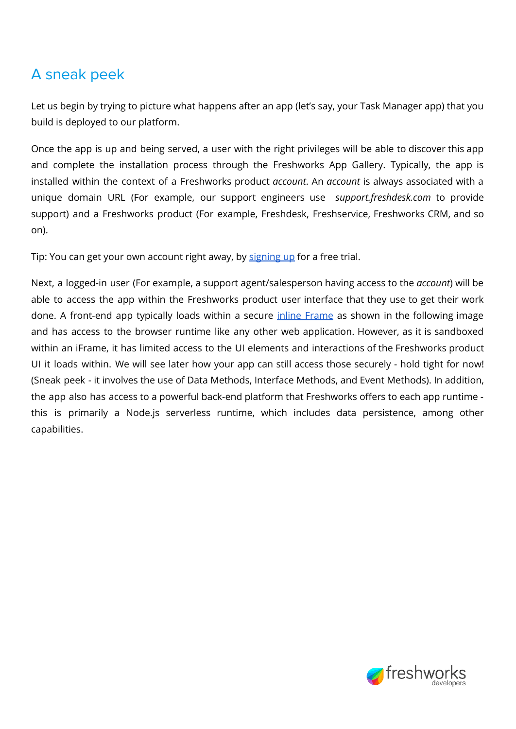## A sneak peek

Let us begin by trying to picture what happens after an app (let's say, your Task Manager app) that you build is deployed to our platform.

Once the app is up and being served, a user with the right privileges will be able to discover this app and complete the installation process through the Freshworks App Gallery. Typically, the app is installed within the context of a Freshworks product *account*. An *account* is always associated with a unique domain URL (For example, our support engineers use *support.freshdesk.com* to provide support) and a Freshworks product (For example, Freshdesk, Freshservice, Freshworks CRM, and so on).

Tip: You can get your own account right away, by [signing](https://www.freshworks.com/products/) up for a free trial.

Next, a logged-in user (For example, a support agent/salesperson having access to the *account*) will be able to access the app within the Freshworks product user interface that they use to get their work done. A front-end app typically loads within a secure *inline [Frame](https://developer.mozilla.org/en-US/docs/Web/HTML/Element/iframe)* as shown in the following image and has access to the browser runtime like any other web application. However, as it is sandboxed within an iFrame, it has limited access to the UI elements and interactions of the Freshworks product UI it loads within. We will see later how your app can still access those securely - hold tight for now! (Sneak peek - it involves the use of Data Methods, Interface Methods, and Event Methods). In addition, the app also has access to a powerful back-end platform that Freshworks offers to each app runtime this is primarily a Node.js serverless runtime, which includes data persistence, among other capabilities.

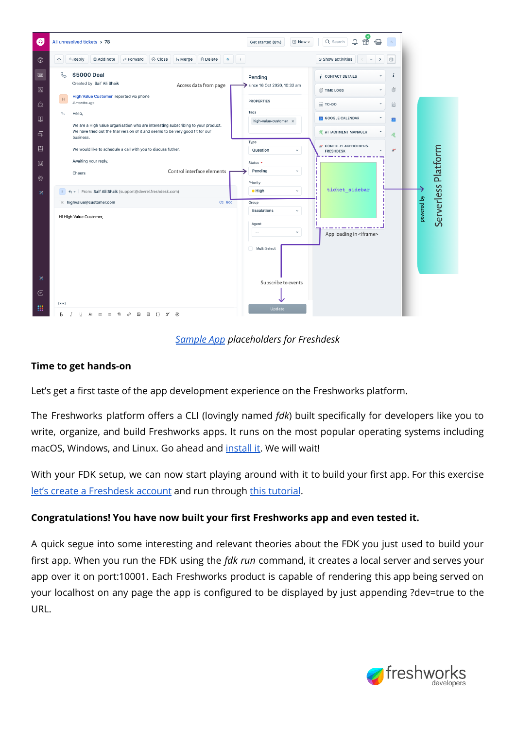

#### *[Sample](https://github.com/freshworks/marketplace-sample-apps/tree/master/Freshworks-Samples/App-Development-Features/Configuration-Features/config-placeholders-freshdesk) App placeholders for Freshdesk*

#### **Time to get hands-on**

Let's get a first taste of the app development experience on the Freshworks platform.

The Freshworks platform offers a CLI (lovingly named *fdk*) built specifically for developers like you to write, organize, and build Freshworks apps. It runs on the most popular operating systems including macOS, Windows, and Linux. Go ahead and [install](https://community.developers.freshworks.com/t/what-are-the-prerequisites-to-install-the-freshworks-cli/234) it. We will wait!

With your FDK setup, we can now start playing around with it to build your first app. For this exercise let's create a [Freshdesk](https://freshdesk.com/signup) account and run through this [tutorial](https://developers.freshworks.com/tutorials/codelabs/introduction/index.html?index=..%2F..index#0).

#### **Congratulations! You have now built your first Freshworks app and even tested it.**

A quick segue into some interesting and relevant theories about the FDK you just used to build your first app. When you run the FDK using the *fdk run* command, it creates a local server and serves your app over it on port:10001. Each Freshworks product is capable of rendering this app being served on your localhost on any page the app is configured to be displayed by just appending ?dev=true to the URL.

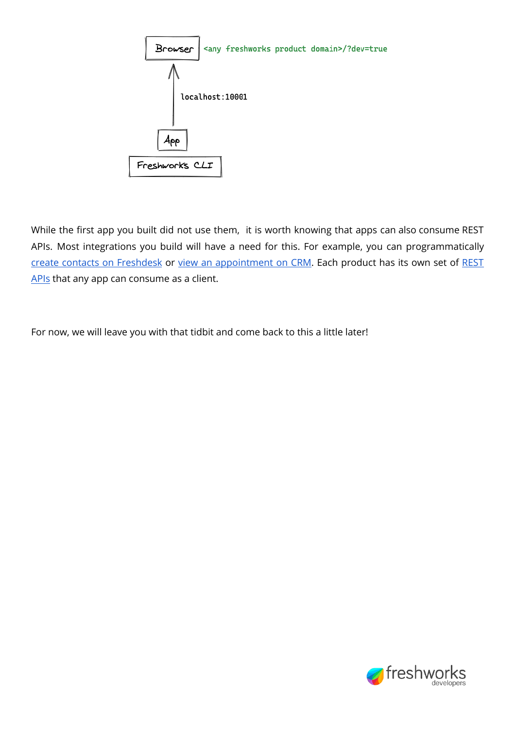

While the first app you built did not use them, it is worth knowing that apps can also consume REST APIs. Most integrations you build will have a need for this. For example, you can programmatically create contacts on [Freshdesk](https://developers.freshdesk.com/api/#contacts) or view an [appointment](https://developers.freshworks.com/crm/api/#view_an_appointment) on CRM. Each product has its own set of [REST](https://developers.freshworks.com/documentation/) [APIs](https://developers.freshworks.com/documentation/) that any app can consume as a client.

For now, we will leave you with that tidbit and come back to this a little later!

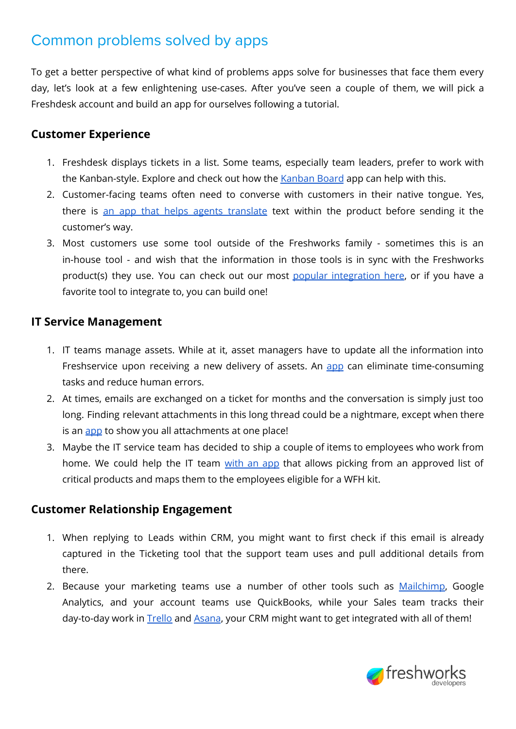## Common problems solved by apps

To get a better perspective of what kind of problems apps solve for businesses that face them every day, let's look at a few enlightening use-cases. After you've seen a couple of them, we will pick a Freshdesk account and build an app for ourselves following a tutorial.

## **Customer Experience**

- 1. Freshdesk displays tickets in a list. Some teams, especially team leaders, prefer to work with the Kanban-style. Explore and check out how the [Kanban](https://www.freshworks.com/apps/freshdesk/kanban_board) Board app can help with this.
- 2. Customer-facing teams often need to converse with customers in their native tongue. Yes, there is an app that helps agents [translate](https://www.freshworks.com/apps/freshdesk/translate_buddy) text within the product before sending it the customer's way.
- 3. Most customers use some tool outside of the Freshworks family sometimes this is an in-house tool - and wish that the information in those tools is in sync with the Freshworks product(s) they use. You can check out our most popular [integration](https://www.freshworks.com/apps/freshdesk/atlassian_jira_plus) here, or if you have a favorite tool to integrate to, you can build one!

## **IT Service Management**

- 1. IT teams manage assets. While at it, asset managers have to update all the information into Freshservice upon receiving a new delivery of assets. An [app](https://www.freshworks.com/apps/freshservice/clone_asset) can eliminate time-consuming tasks and reduce human errors.
- 2. At times, emails are exchanged on a ticket for months and the conversation is simply just too long. Finding relevant attachments in this long thread could be a nightmare, except when there is an [app](https://www.freshworks.com/apps/freshservice/attachments_viewer) to show you all attachments at one place!
- 3. Maybe the IT service team has decided to ship a couple of items to employees who work from home. We could help the IT team [with](https://www.freshworks.com/apps/freshservice/it_resource_management) an app that allows picking from an approved list of critical products and maps them to the employees eligible for a WFH kit.

## **Customer Relationship Engagement**

- 1. When replying to Leads within CRM, you might want to first check if this email is already captured in the Ticketing tool that the support team uses and pull additional details from there.
- 2. Because your marketing teams use a number of other tools such as [Mailchimp](https://www.freshworks.com/apps/freshworks_crm/mailchimp_1), Google Analytics, and your account teams use QuickBooks, while your Sales team tracks their day-to-day work in [Trello](https://www.freshworks.com/apps/freshworks_crm/trello_1) and [Asana](https://www.freshworks.com/apps/freshworks_crm/asana_1172018), your CRM might want to get integrated with all of them!

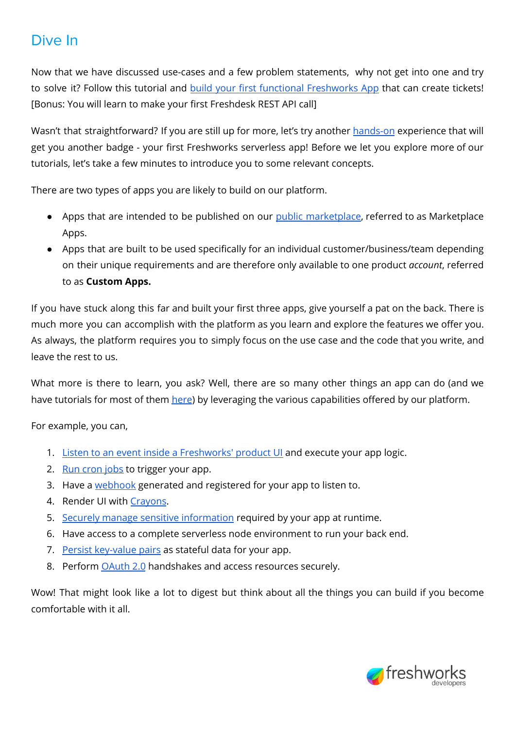# Dive In

Now that we have discussed use-cases and a few problem statements, why not get into one and try to solve it? Follow this tutorial and build your first functional [Freshworks](https://developers.freshworks.com/tutorials/codelabs/freshdesk-basics/index.html?index=..%2F..index#0) App that can create tickets! [Bonus: You will learn to make your first Freshdesk REST API call]

Wasn't that straightforward? If you are still up for more, let's try another [hands-on](https://developers.freshworks.com/tutorials/codelabs/freshdesk-serverless/index.html?index=..%2F..index#0) experience that will get you another badge - your first Freshworks serverless app! Before we let you explore more of our tutorials, let's take a few minutes to introduce you to some relevant concepts.

There are two types of apps you are likely to build on our platform.

- Apps that are intended to be published on our public [marketplace](https://www.freshworks.com/apps/), referred to as Marketplace Apps.
- Apps that are built to be used specifically for an individual customer/business/team depending on their unique requirements and are therefore only available to one product *account*, referred to as **Custom Apps.**

If you have stuck along this far and built your first three apps, give yourself a pat on the back. There is much more you can accomplish with the platform as you learn and explore the features we offer you. As always, the platform requires you to simply focus on the use case and the code that you write, and leave the rest to us.

What more is there to learn, you ask? Well, there are so many other things an app can do (and we have tutorials for most of them [here](https://developer.freshworks.com/tutorials)) by leveraging the various capabilities offered by our platform.

For example, you can,

- 1. Listen to an event inside a [Freshworks'](https://developers.freshdesk.com/v2/docs/events-methods/) product UI and execute your app logic.
- 2. Run [cron](https://developers.freshdesk.com/v2/docs/scheduled-events/) jobs to trigger your app.
- 3. Have a [webhook](https://developers.freshdesk.com/v2/docs/external-events/) generated and registered for your app to listen to.
- 4. Render UI with [Crayons](https://crayons.freshworks.com/).
- 5. Securely manage sensitive [information](https://medium.com/freshworks-developer-blog/securing-sensitive-installation-parameters-3879908ade17) required by your app at runtime.
- 6. Have access to a complete serverless node environment to run your back end.
- 7. Persist [key-value](https://developers.freshdesk.com/v2/docs/data-storage/) pairs as stateful data for your app.
- 8. Perform [OAuth](https://developers.freshdesk.com/v2/docs/oauth/) 2.0 handshakes and access resources securely.

Wow! That might look like a lot to digest but think about all the things you can build if you become comfortable with it all.

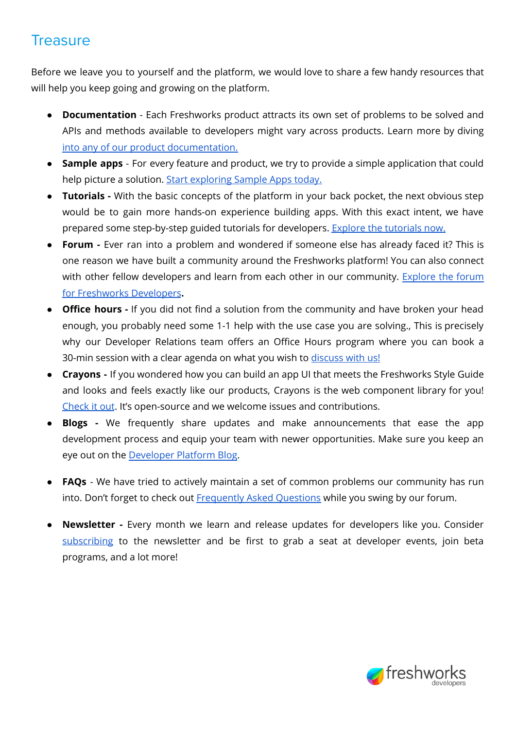# **Treasure**

Before we leave you to yourself and the platform, we would love to share a few handy resources that will help you keep going and growing on the platform.

- **Documentation** Each Freshworks product attracts its own set of problems to be solved and APIs and methods available to developers might vary across products. Learn more by diving into any of our product [documentation.](https://developers.freshworks.com/documentation)
- **Sample apps** For every feature and product, we try to provide a simple application that could help picture a solution. Start [exploring](https://github.com/freshworks/marketplace-sample-apps) Sample Apps today.
- **● Tutorials -** With the basic concepts of the platform in your back pocket, the next obvious step would be to gain more hands-on experience building apps. With this exact intent, we have prepared some step-by-step guided [tutorials](https://developers.freshworks.com/tutorials/) for developers. Explore the tutorials now.
- **● Forum -** Ever ran into a problem and wondered if someone else has already faced it? This is one reason we have built a community around the Freshworks platform! You can also connect with other fellow developers and learn from each other in our community. [Explore](https://community.developers.freshworks.com/) the forum for [Freshworks](https://community.developers.freshworks.com/) Developers**.**
- **● Office hours -** If you did not find a solution from the community and have broken your head enough, you probably need some 1-1 help with the use case you are solving., This is precisely why our Developer Relations team offers an Office Hours program where you can book a 30-min session with a clear agenda on what you wish to [discuss](https://calendly.com/freshworks-devrel/catchup) with us!
- **● Crayons -** If you wondered how you can build an app UI that meets the Freshworks Style Guide and looks and feels exactly like our products, Crayons is the web component library for you! [Check](https://crayons.freshworks.com/) it out. It's open-source and we welcome issues and contributions.
- **● Blogs -** We frequently share updates and make announcements that ease the app development process and equip your team with newer opportunities. Make sure you keep an eye out on the **[Developer](https://medium.com/freshworks-developer-blog) Platform Blog**.
- **● FAQs** We have tried to actively maintain a set of common problems our community has run into. Don't forget to check out [Frequently](https://community.developers.freshworks.com/pub/faq) Asked Questions while you swing by our forum.
- **● Newsletter -** Every month we learn and release updates for developers like you. Consider [subscribing](https://developers.freshworks.com/) to the newsletter and be first to grab a seat at developer events, join beta programs, and a lot more!